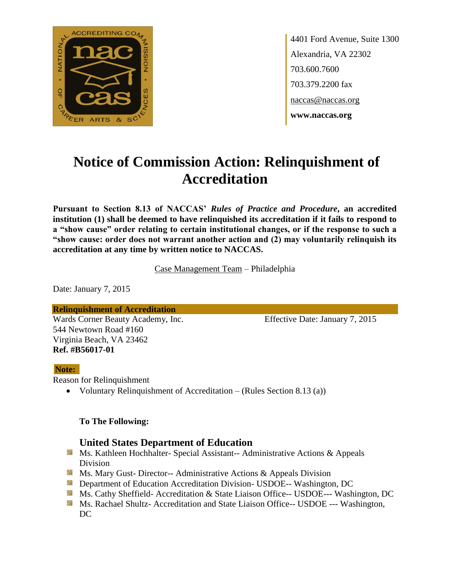

4401 Ford Avenue, Suite 1300 Alexandria, VA 22302 703.600.7600 703.379.2200 fax naccas@naccas.org **www.naccas.org**

# **Notice of Commission Action: Relinquishment of Accreditation**

**Pursuant to Section 8.13 of NACCAS'** *Rules of Practice and Procedure***, an accredited institution (1) shall be deemed to have relinquished its accreditation if it fails to respond to a "show cause" order relating to certain institutional changes, or if the response to such a "show cause: order does not warrant another action and (2) may voluntarily relinquish its accreditation at any time by written notice to NACCAS.**

Case Management Team – Philadelphia

Date: January 7, 2015

**Relinquishment of Accreditation**

544 Newtown Road #160 Virginia Beach, VA 23462 **Ref. #B56017-01**

Wards Corner Beauty Academy, Inc. Effective Date: January 7, 2015

#### **Note:**

Reason for Relinquishment

Voluntary Relinquishment of Accreditation – (Rules Section 8.13 (a))

#### **To The Following:**

### **United States Department of Education**

- **Ms. Kathleen Hochhalter- Special Assistant-- Administrative Actions & Appeals** Division
- **Ms. Mary Gust- Director-- Administrative Actions & Appeals Division**
- **Department of Education Accreditation Division- USDOE-- Washington, DC**
- Ms. Cathy Sheffield- Accreditation & State Liaison Office-- USDOE--- Washington, DC
- **MS. Rachael Shultz- Accreditation and State Liaison Office-- USDOE --- Washington,** DC